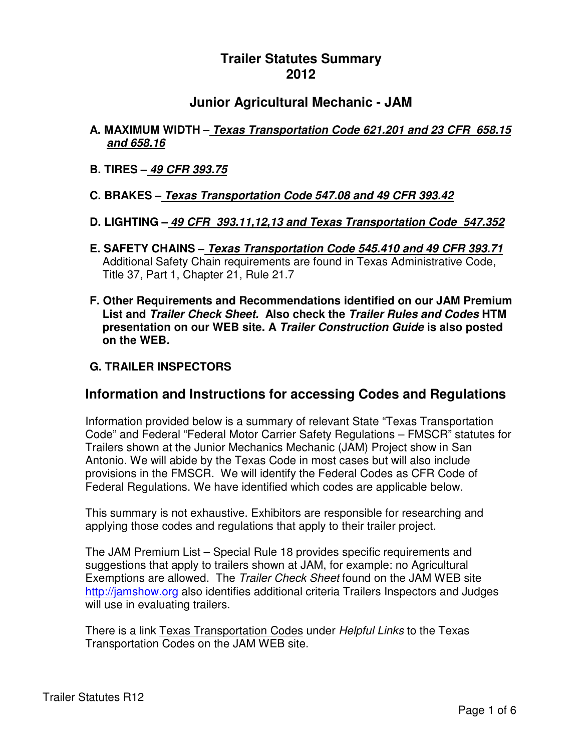# **Trailer Statutes Summary 2012**

## **Junior Agricultural Mechanic - JAM**

- **A. MAXIMUM WIDTH Texas Transportation Code 621.201 and 23 CFR 658.15 and 658.16**
- **B. TIRES – 49 CFR 393.75**

#### **C. BRAKES – Texas Transportation Code 547.08 and 49 CFR 393.42**

- **D. LIGHTING – 49 CFR 393.11,12,13 and Texas Transportation Code 547.352**
- **E. SAFETY CHAINS – Texas Transportation Code 545.410 and 49 CFR 393.71** Additional Safety Chain requirements are found in Texas Administrative Code, Title 37, Part 1, Chapter 21, Rule 21.7
- **F. Other Requirements and Recommendations identified on our JAM Premium List and Trailer Check Sheet. Also check the Trailer Rules and Codes HTM presentation on our WEB site. A Trailer Construction Guide is also posted on the WEB.**

#### **G. TRAILER INSPECTORS**

### **Information and Instructions for accessing Codes and Regulations**

Information provided below is a summary of relevant State "Texas Transportation Code" and Federal "Federal Motor Carrier Safety Regulations – FMSCR" statutes for Trailers shown at the Junior Mechanics Mechanic (JAM) Project show in San Antonio. We will abide by the Texas Code in most cases but will also include provisions in the FMSCR. We will identify the Federal Codes as CFR Code of Federal Regulations. We have identified which codes are applicable below.

This summary is not exhaustive. Exhibitors are responsible for researching and applying those codes and regulations that apply to their trailer project.

The JAM Premium List – Special Rule 18 provides specific requirements and suggestions that apply to trailers shown at JAM, for example: no Agricultural Exemptions are allowed. The Trailer Check Sheet found on the JAM WEB site http://jamshow.org also identifies additional criteria Trailers Inspectors and Judges will use in evaluating trailers.

There is a link Texas Transportation Codes under Helpful Links to the Texas Transportation Codes on the JAM WEB site.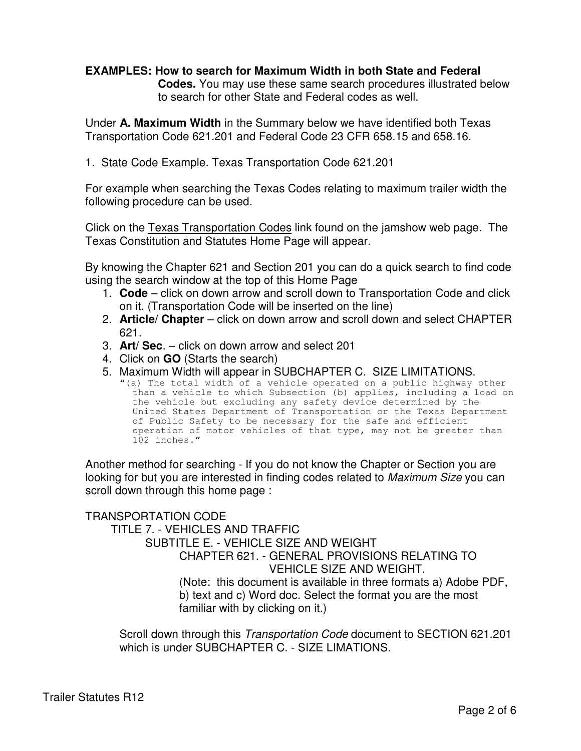#### **EXAMPLES: How to search for Maximum Width in both State and Federal**

**Codes.** You may use these same search procedures illustrated below to search for other State and Federal codes as well.

Under **A. Maximum Width** in the Summary below we have identified both Texas Transportation Code 621.201 and Federal Code 23 CFR 658.15 and 658.16.

1. State Code Example. Texas Transportation Code 621.201

For example when searching the Texas Codes relating to maximum trailer width the following procedure can be used.

Click on the Texas Transportation Codes link found on the jamshow web page. The Texas Constitution and Statutes Home Page will appear.

By knowing the Chapter 621 and Section 201 you can do a quick search to find code using the search window at the top of this Home Page

- 1. **Code**  click on down arrow and scroll down to Transportation Code and click on it. (Transportation Code will be inserted on the line)
- 2. **Article/ Chapter** click on down arrow and scroll down and select CHAPTER 621.
- 3. **Art/ Sec**. click on down arrow and select 201
- 4. Click on **GO** (Starts the search)
- 5. Maximum Width will appear in SUBCHAPTER C. SIZE LIMITATIONS.

"(a) The total width of a vehicle operated on a public highway other than a vehicle to which Subsection (b) applies, including a load on the vehicle but excluding any safety device determined by the United States Department of Transportation or the Texas Department of Public Safety to be necessary for the safe and efficient operation of motor vehicles of that type, may not be greater than 102 inches."

Another method for searching - If you do not know the Chapter or Section you are looking for but you are interested in finding codes related to Maximum Size you can scroll down through this home page :

TRANSPORTATION CODE TITLE 7. - VEHICLES AND TRAFFIC SUBTITLE E. - VEHICLE SIZE AND WEIGHT CHAPTER 621. - GENERAL PROVISIONS RELATING TO VEHICLE SIZE AND WEIGHT. (Note: this document is available in three formats a) Adobe PDF, b) text and c) Word doc. Select the format you are the most familiar with by clicking on it.)

Scroll down through this Transportation Code document to SECTION 621.201 which is under SUBCHAPTER C. - SIZE LIMATIONS.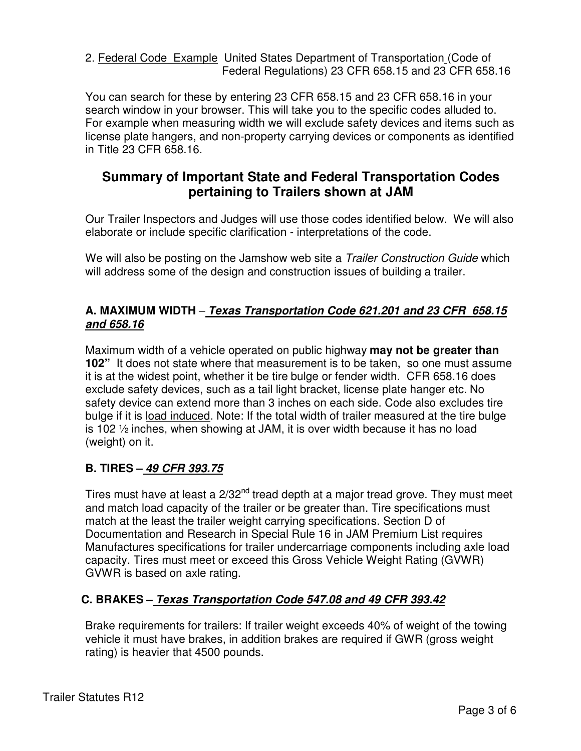2. Federal Code Example United States Department of Transportation (Code of Federal Regulations) 23 CFR 658.15 and 23 CFR 658.16

You can search for these by entering 23 CFR 658.15 and 23 CFR 658.16 in your search window in your browser. This will take you to the specific codes alluded to. For example when measuring width we will exclude safety devices and items such as license plate hangers, and non-property carrying devices or components as identified in Title 23 CFR 658.16.

# **Summary of Important State and Federal Transportation Codes pertaining to Trailers shown at JAM**

Our Trailer Inspectors and Judges will use those codes identified below. We will also elaborate or include specific clarification - interpretations of the code.

We will also be posting on the Jamshow web site a *Trailer Construction Guide* which will address some of the design and construction issues of building a trailer.

### **A. MAXIMUM WIDTH** – **Texas Transportation Code 621.201 and 23 CFR 658.15 and 658.16**

Maximum width of a vehicle operated on public highway **may not be greater than 102"** It does not state where that measurement is to be taken, so one must assume it is at the widest point, whether it be tire bulge or fender width. CFR 658.16 does exclude safety devices, such as a tail light bracket, license plate hanger etc. No safety device can extend more than 3 inches on each side. Code also excludes tire bulge if it is load induced. Note: If the total width of trailer measured at the tire bulge is 102 ½ inches, when showing at JAM, it is over width because it has no load (weight) on it.

## **B. TIRES – 49 CFR 393.75**

Tires must have at least a 2/32<sup>nd</sup> tread depth at a major tread grove. They must meet and match load capacity of the trailer or be greater than. Tire specifications must match at the least the trailer weight carrying specifications. Section D of Documentation and Research in Special Rule 16 in JAM Premium List requires Manufactures specifications for trailer undercarriage components including axle load capacity. Tires must meet or exceed this Gross Vehicle Weight Rating (GVWR) GVWR is based on axle rating.

## **C. BRAKES – Texas Transportation Code 547.08 and 49 CFR 393.42**

Brake requirements for trailers: If trailer weight exceeds 40% of weight of the towing vehicle it must have brakes, in addition brakes are required if GWR (gross weight rating) is heavier that 4500 pounds.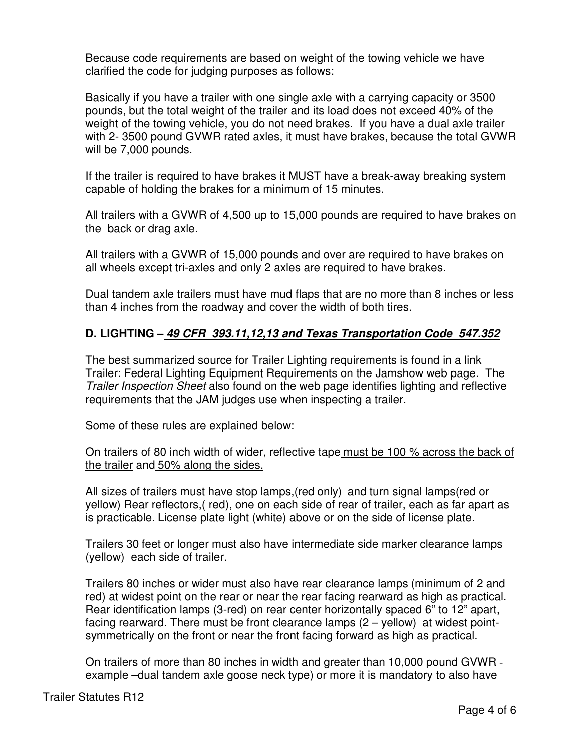Because code requirements are based on weight of the towing vehicle we have clarified the code for judging purposes as follows:

Basically if you have a trailer with one single axle with a carrying capacity or 3500 pounds, but the total weight of the trailer and its load does not exceed 40% of the weight of the towing vehicle, you do not need brakes. If you have a dual axle trailer with 2- 3500 pound GVWR rated axles, it must have brakes, because the total GVWR will be 7,000 pounds.

If the trailer is required to have brakes it MUST have a break-away breaking system capable of holding the brakes for a minimum of 15 minutes.

All trailers with a GVWR of 4,500 up to 15,000 pounds are required to have brakes on the back or drag axle.

All trailers with a GVWR of 15,000 pounds and over are required to have brakes on all wheels except tri-axles and only 2 axles are required to have brakes.

Dual tandem axle trailers must have mud flaps that are no more than 8 inches or less than 4 inches from the roadway and cover the width of both tires.

## **D. LIGHTING – 49 CFR 393.11,12,13 and Texas Transportation Code 547.352**

The best summarized source for Trailer Lighting requirements is found in a link Trailer: Federal Lighting Equipment Requirements on the Jamshow web page. The Trailer Inspection Sheet also found on the web page identifies lighting and reflective requirements that the JAM judges use when inspecting a trailer.

Some of these rules are explained below:

On trailers of 80 inch width of wider, reflective tape must be 100 % across the back of the trailer and 50% along the sides.

All sizes of trailers must have stop lamps,(red only) and turn signal lamps(red or yellow) Rear reflectors,( red), one on each side of rear of trailer, each as far apart as is practicable. License plate light (white) above or on the side of license plate.

Trailers 30 feet or longer must also have intermediate side marker clearance lamps (yellow) each side of trailer.

Trailers 80 inches or wider must also have rear clearance lamps (minimum of 2 and red) at widest point on the rear or near the rear facing rearward as high as practical. Rear identification lamps (3-red) on rear center horizontally spaced 6" to 12" apart, facing rearward. There must be front clearance lamps (2 – yellow) at widest pointsymmetrically on the front or near the front facing forward as high as practical.

On trailers of more than 80 inches in width and greater than 10,000 pound GVWR example –dual tandem axle goose neck type) or more it is mandatory to also have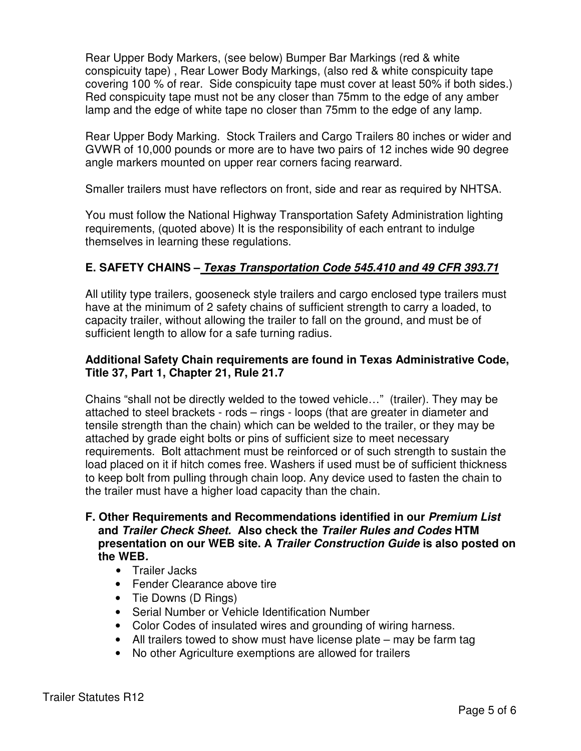Rear Upper Body Markers, (see below) Bumper Bar Markings (red & white conspicuity tape) , Rear Lower Body Markings, (also red & white conspicuity tape covering 100 % of rear. Side conspicuity tape must cover at least 50% if both sides.) Red conspicuity tape must not be any closer than 75mm to the edge of any amber lamp and the edge of white tape no closer than 75mm to the edge of any lamp.

Rear Upper Body Marking. Stock Trailers and Cargo Trailers 80 inches or wider and GVWR of 10,000 pounds or more are to have two pairs of 12 inches wide 90 degree angle markers mounted on upper rear corners facing rearward.

Smaller trailers must have reflectors on front, side and rear as required by NHTSA.

You must follow the National Highway Transportation Safety Administration lighting requirements, (quoted above) It is the responsibility of each entrant to indulge themselves in learning these regulations.

## **E. SAFETY CHAINS – Texas Transportation Code 545.410 and 49 CFR 393.71**

All utility type trailers, gooseneck style trailers and cargo enclosed type trailers must have at the minimum of 2 safety chains of sufficient strength to carry a loaded, to capacity trailer, without allowing the trailer to fall on the ground, and must be of sufficient length to allow for a safe turning radius.

#### **Additional Safety Chain requirements are found in Texas Administrative Code, Title 37, Part 1, Chapter 21, Rule 21.7**

Chains "shall not be directly welded to the towed vehicle…" (trailer). They may be attached to steel brackets - rods – rings - loops (that are greater in diameter and tensile strength than the chain) which can be welded to the trailer, or they may be attached by grade eight bolts or pins of sufficient size to meet necessary requirements. Bolt attachment must be reinforced or of such strength to sustain the load placed on it if hitch comes free. Washers if used must be of sufficient thickness to keep bolt from pulling through chain loop. Any device used to fasten the chain to the trailer must have a higher load capacity than the chain.

- **F. Other Requirements and Recommendations identified in our Premium List and Trailer Check Sheet. Also check the Trailer Rules and Codes HTM presentation on our WEB site. A Trailer Construction Guide is also posted on the WEB.** 
	- Trailer Jacks
	- Fender Clearance above tire
	- Tie Downs (D Rings)
	- Serial Number or Vehicle Identification Number
	- Color Codes of insulated wires and grounding of wiring harness.
	- All trailers towed to show must have license plate may be farm tag
	- No other Agriculture exemptions are allowed for trailers